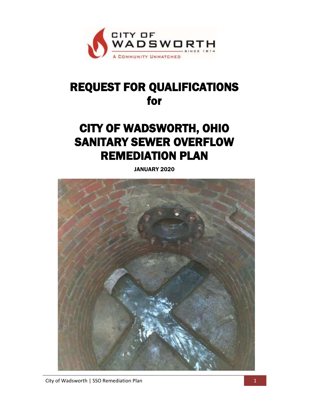

# REQUEST FOR QUALIFICATIONS for

# CITY OF WADSWORTH, OHIO SANITARY SEWER OVERFLOW REMEDIATION PLAN

JANUARY 2020

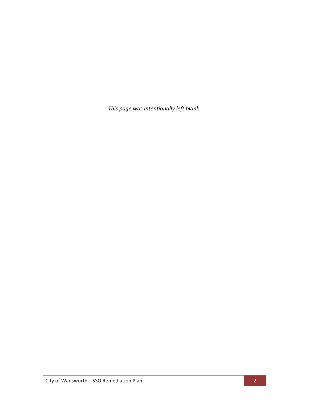*This page was intentionally left blank*.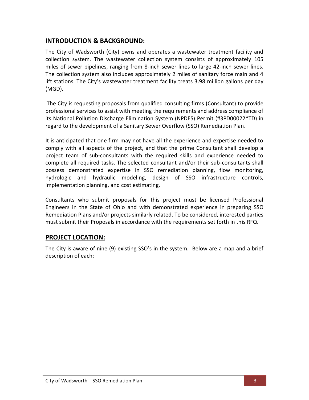# **INTRODUCTION & BACKGROUND:**

The City of Wadsworth (City) owns and operates a wastewater treatment facility and collection system. The wastewater collection system consists of approximately 105 miles of sewer pipelines, ranging from 8‐inch sewer lines to large 42‐inch sewer lines. The collection system also includes approximately 2 miles of sanitary force main and 4 lift stations. The City's wastewater treatment facility treats 3.98 million gallons per day (MGD).

The City is requesting proposals from qualified consulting firms (Consultant) to provide professional services to assist with meeting the requirements and address compliance of its National Pollution Discharge Elimination System (NPDES) Permit (#3PD00022\*TD) in regard to the development of a Sanitary Sewer Overflow (SSO) Remediation Plan.

It is anticipated that one firm may not have all the experience and expertise needed to comply with all aspects of the project, and that the prime Consultant shall develop a project team of sub-consultants with the required skills and experience needed to complete all required tasks. The selected consultant and/or their sub-consultants shall possess demonstrated expertise in SSO remediation planning, flow monitoring, hydrologic and hydraulic modeling, design of SSO infrastructure controls, implementation planning, and cost estimating.

Consultants who submit proposals for this project must be licensed Professional Engineers in the State of Ohio and with demonstrated experience in preparing SSO Remediation Plans and/or projects similarly related. To be considered, interested parties must submit their Proposals in accordance with the requirements set forth in this RFQ.

# **PROJECT LOCATION:**

The City is aware of nine (9) existing SSO's in the system. Below are a map and a brief description of each: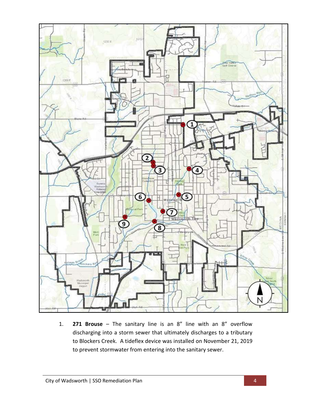

1. **271 Brouse** – The sanitary line is an 8" line with an 8" overflow discharging into a storm sewer that ultimately discharges to a tributary to Blockers Creek. A tideflex device was installed on November 21, 2019 to prevent stormwater from entering into the sanitary sewer.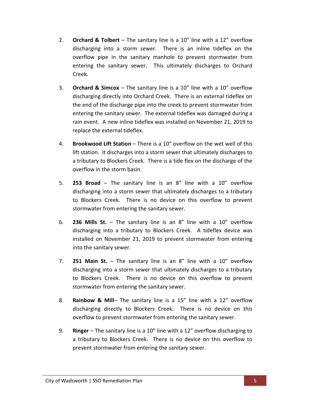- 2. **Orchard & Tolbert** The sanitary line is a 10" line with a 12" overflow discharging into a storm sewer. There is an inline tideflex on the overflow pipe in the sanitary manhole to prevent stormwater from entering the sanitary sewer. This ultimately discharges to Orchard Creek.
- 3. **Orchard & Simcox** The sanitary line is a 10" line with a 10" overflow discharging directly into Orchard Creek. There is an external tideflex on the end of the discharge pipe into the creek to prevent stormwater from entering the sanitary sewer. The external tideflex was damaged during a rain event. A new inline tideflex was installed on November 21, 2019 to replace the external tideflex.
- 4. **Brookwood Lift Station** There is a 10" overflow on the wet well of this lift station. It discharges into a storm sewer that ultimately discharges to a tributary to Blockers Creek. There is a tide flex on the discharge of the overflow in the storm basin.
- 5. **253 Broad** The sanitary line is an 8" line with a 10" overflow discharging into a storm sewer that ultimately discharges to a tributary to Blockers Creek. There is no device on this overflow to prevent stormwater from entering the sanitary sewer.
- 6. **236 Mills St.** The sanitary line is an 8" line with a 10" overflow discharging into a tributary to Blockers Creek. A tideflex device was installed on November 21, 2019 to prevent stormwater from entering into the sanitary sewer.
- 7. **251 Main St.** The sanitary line is an 8" line with a 10" overflow discharging into a storm sewer that ultimately discharges to a tributary to Blockers Creek. There is no device on this overflow to prevent stormwater from entering the sanitary sewer.
- 8. **Rainbow & Mill** The sanitary line is a 15" line with a 12" overflow discharging directly to Blockers Creek. There is no device on this overflow to prevent stormwater from entering the sanitary sewer.
- 9. **Ringer** The sanitary line is a 10" line with a 12" overflow discharging to a tributary to Blockers Creek. There is no device on this overflow to prevent stormwater from entering the sanitary sewer.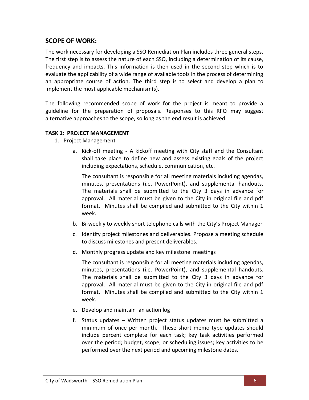## **SCOPE OF WORK:**

The work necessary for developing a SSO Remediation Plan includes three general steps. The first step is to assess the nature of each SSO, including a determination of its cause, frequency and impacts. This information is then used in the second step which is to evaluate the applicability of a wide range of available tools in the process of determining an appropriate course of action. The third step is to select and develop a plan to implement the most applicable mechanism(s).

The following recommended scope of work for the project is meant to provide a guideline for the preparation of proposals. Responses to this RFQ may suggest alternative approaches to the scope, so long as the end result is achieved.

### **TASK 1: PROJECT MANAGEMENT**

- 1. Project Management
	- a. Kick-off meeting A kickoff meeting with City staff and the Consultant shall take place to define new and assess existing goals of the project including expectations, schedule, communication, etc.

The consultant is responsible for all meeting materials including agendas, minutes, presentations (i.e. PowerPoint), and supplemental handouts. The materials shall be submitted to the City 3 days in advance for approval. All material must be given to the City in original file and pdf format. Minutes shall be compiled and submitted to the City within 1 week.

- b. Bi-weekly to weekly short telephone calls with the City's Project Manager
- c. Identify project milestones and deliverables. Propose a meeting schedule to discuss milestones and present deliverables.
- d. Monthly progress update and key milestone meetings

The consultant is responsible for all meeting materials including agendas, minutes, presentations (i.e. PowerPoint), and supplemental handouts. The materials shall be submitted to the City 3 days in advance for approval. All material must be given to the City in original file and pdf format. Minutes shall be compiled and submitted to the City within 1 week.

- e. Develop and maintain an action log
- f. Status updates Written project status updates must be submitted a minimum of once per month. These short memo type updates should include percent complete for each task; key task activities performed over the period; budget, scope, or scheduling issues; key activities to be performed over the next period and upcoming milestone dates.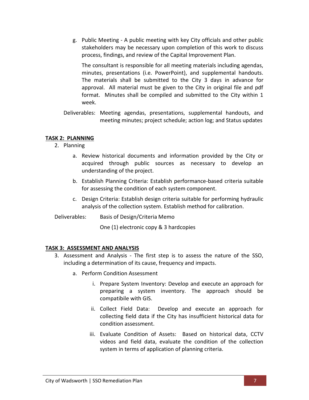g. Public Meeting - A public meeting with key City officials and other public stakeholders may be necessary upon completion of this work to discuss process, findings, and review of the Capital Improvement Plan.

The consultant is responsible for all meeting materials including agendas, minutes, presentations (i.e. PowerPoint), and supplemental handouts. The materials shall be submitted to the City 3 days in advance for approval. All material must be given to the City in original file and pdf format. Minutes shall be compiled and submitted to the City within 1 week.

Deliverables: Meeting agendas, presentations, supplemental handouts, and meeting minutes; project schedule; action log; and Status updates

### **TASK 2: PLANNING**

- 2. Planning
	- a. Review historical documents and information provided by the City or acquired through public sources as necessary to develop an understanding of the project.
	- b. Establish Planning Criteria: Establish performance-based criteria suitable for assessing the condition of each system component.
	- c. Design Criteria: Establish design criteria suitable for performing hydraulic analysis of the collection system. Establish method for calibration.

Deliverables: Basis of Design/Criteria Memo

One (1) electronic copy & 3 hardcopies

### **TASK 3: ASSESSMENT AND ANALYSIS**

- 3. Assessment and Analysis The first step is to assess the nature of the SSO, including a determination of its cause, frequency and impacts.
	- a. Perform Condition Assessment
		- i. Prepare System Inventory: Develop and execute an approach for preparing a system inventory. The approach should be compatibile with GIS.
		- ii. Collect Field Data: Develop and execute an approach for collecting field data if the City has insufficient historical data for condition assessment.
		- iii. Evaluate Condition of Assets: Based on historical data, CCTV videos and field data, evaluate the condition of the collection system in terms of application of planning criteria.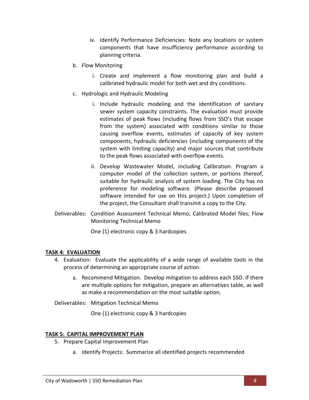- iv. Identify Performance Deficiencies: Note any locations or system components that have insufficiency performance according to planning criteria.
- b. Flow Monitoring
	- i. Create and implement a flow monitoring plan and build a calibrated hydraulic model for both wet and dry conditions.
- c. Hydrologic and Hydraulic Modeling
	- i. Include hydraulic modeling and the identification of sanitary sewer system capacity constraints. The evaluation must provide estimates of peak flows (including flows from SSO's that escape from the system) associated with conditions similar to those causing overflow events, estimates of capacity of key system components, hydraulic deficiencies (including components of the system with limiting capacity) and major sources that contribute to the peak flows associated with overflow events.
	- ii. Develop Wastewater Model, including Calibration. Program a computer model of the collection system, or portions thereof, suitable for hydraulic analysis of system loading. The City has no preference for modeling software. (Please describe proposed software intended for use on this project.) Upon completion of the project, the Consultant shall transmit a copy to the City.
- Deliverables: Condition Assessment Technical Memo; Calibrated Model files; Flow Monitoring Technical Memo

One (1) electronic copy & 3 hardcopies

### **TASK 4: EVALUATION**

- 4. Evaluation: Evaluate the applicability of a wide range of available tools in the process of determining an appropriate course of action.
	- a. Recommend Mitigation. Develop mitigation to address each SSO. If there are multiple options for mitigation, prepare an alternatives table, as well as make a recommendation on the most suitable option.

Deliverables: Mitigation Technical Memo

One (1) electronic copy & 3 hardcopies

## **TASK 5: CAPITAL IMPROVEMENT PLAN**

- 5. Prepare Capital Improvement Plan
	- a. Identify Projects: Summarize all identified projects recommended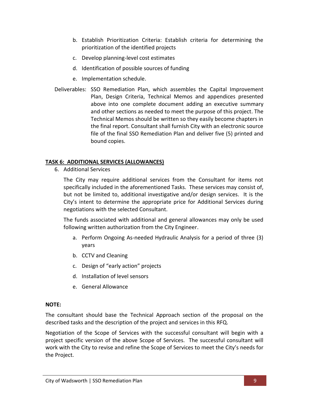- b. Establish Prioritization Criteria: Establish criteria for determining the prioritization of the identified projects
- c. Develop planning-level cost estimates
- d. Identification of possible sources of funding
- e. Implementation schedule.
- Deliverables: SSO Remediation Plan, which assembles the Capital Improvement Plan, Design Criteria, Technical Memos and appendices presented above into one complete document adding an executive summary and other sections as needed to meet the purpose of this project. The Technical Memos should be written so they easily become chapters in the final report. Consultant shall furnish City with an electronic source file of the final SSO Remediation Plan and deliver five (5) printed and bound copies.

#### **TASK 6: ADDITIONAL SERVICES (ALLOWANCES)**

6. Additional Services

The City may require additional services from the Consultant for items not specifically included in the aforementioned Tasks. These services may consist of, but not be limited to, additional investigative and/or design services. It is the City's intent to determine the appropriate price for Additional Services during negotiations with the selected Consultant.

The funds associated with additional and general allowances may only be used following written authorization from the City Engineer.

- a. Perform Ongoing As-needed Hydraulic Analysis for a period of three (3) years
- b. CCTV and Cleaning
- c. Design of "early action" projects
- d. Installation of level sensors
- e. General Allowance

#### **NOTE:**

The consultant should base the Technical Approach section of the proposal on the described tasks and the description of the project and services in this RFQ.

Negotiation of the Scope of Services with the successful consultant will begin with a project specific version of the above Scope of Services. The successful consultant will work with the City to revise and refine the Scope of Services to meet the City's needs for the Project.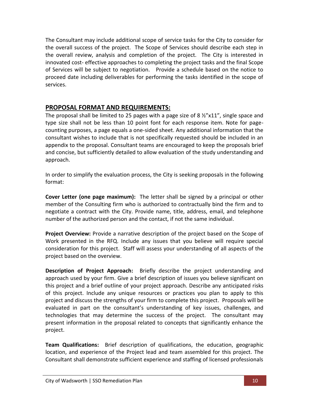The Consultant may include additional scope of service tasks for the City to consider for the overall success of the project. The Scope of Services should describe each step in the overall review, analysis and completion of the project. The City is interested in innovated cost‐ effective approaches to completing the project tasks and the final Scope of Services will be subject to negotiation. Provide a schedule based on the notice to proceed date including deliverables for performing the tasks identified in the scope of services.

## **PROPOSAL FORMAT AND REQUIREMENTS:**

The proposal shall be limited to 25 pages with a page size of 8  $\frac{y''}{x11''}$ , single space and type size shall not be less than 10 point font for each response item. Note for pagecounting purposes, a page equals a one-sided sheet. Any additional information that the consultant wishes to include that is not specifically requested should be included in an appendix to the proposal. Consultant teams are encouraged to keep the proposals brief and concise, but sufficiently detailed to allow evaluation of the study understanding and approach.

In order to simplify the evaluation process, the City is seeking proposals in the following format:

**Cover Letter (one page maximum):** The letter shall be signed by a principal or other member of the Consulting firm who is authorized to contractually bind the firm and to negotiate a contract with the City. Provide name, title, address, email, and telephone number of the authorized person and the contact, if not the same individual.

**Project Overview:** Provide a narrative description of the project based on the Scope of Work presented in the RFQ. Include any issues that you believe will require special consideration for this project. Staff will assess your understanding of all aspects of the project based on the overview.

**Description of Project Approach:** Briefly describe the project understanding and approach used by your firm. Give a brief description of issues you believe significant on this project and a brief outline of your project approach. Describe any anticipated risks of this project. Include any unique resources or practices you plan to apply to this project and discuss the strengths of your firm to complete this project. Proposals will be evaluated in part on the consultant's understanding of key issues, challenges, and technologies that may determine the success of the project. The consultant may present information in the proposal related to concepts that significantly enhance the project.

**Team Qualifications:** Brief description of qualifications, the education, geographic location, and experience of the Project lead and team assembled for this project. The Consultant shall demonstrate sufficient experience and staffing of licensed professionals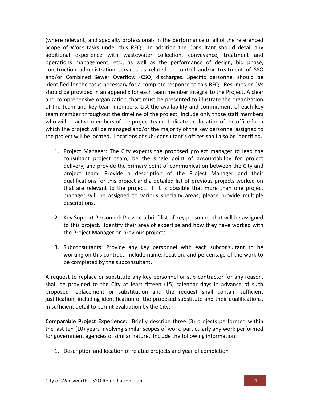(where relevant) and specialty professionals in the performance of all of the referenced Scope of Work tasks under this RFQ. In addition the Consultant should detail any additional experience with wastewater collection, conveyance, treatment and operations management, etc., as well as the performance of design, bid phase, construction administration services as related to control and/or treatment of SSO and/or Combined Sewer Overflow (CSO) discharges. Specific personnel should be identified for the tasks necessary for a complete response to this RFQ. Resumes or CVs should be provided in an appendix for each team member integral to the Project. A clear and comprehensive organization chart must be presented to illustrate the organization of the team and key team members. List the availability and commitment of each key team member throughout the timeline of the project. Include only those staff members who will be active members of the project team. Indicate the location of the office from which the project will be managed and/or the majority of the key personnel assigned to the project will be located. Locations of sub‐ consultant's offices shall also be identified.

- 1. Project Manager: The City expects the proposed project manager to lead the consultant project team, be the single point of accountability for project delivery, and provide the primary point of communication between the City and project team. Provide a description of the Project Manager and their qualifications for this project and a detailed list of previous projects worked on that are relevant to the project. If it is possible that more than one project manager will be assigned to various specialty areas, please provide multiple descriptions.
- 2. Key Support Personnel: Provide a brief list of key personnel that will be assigned to this project. Identify their area of expertise and how they have worked with the Project Manager on previous projects.
- 3. Subconsultants: Provide any key personnel with each subconsultant to be working on this contract. Include name, location, and percentage of the work to be completed by the subconsultant.

A request to replace or substitute any key personnel or sub-contractor for any reason, shall be provided to the City at least fifteen (15) calendar days in advance of such proposed replacement or substitution and the request shall contain sufficient justification, including identification of the proposed substitute and their qualifications, in sufficient detail to permit evaluation by the City.

**Comparable Project Experience:** Briefly describe three (3) projects performed within the last ten (10) years involving similar scopes of work, particularly any work performed for government agencies of similar nature. Include the following information:

1. Description and location of related projects and year of completion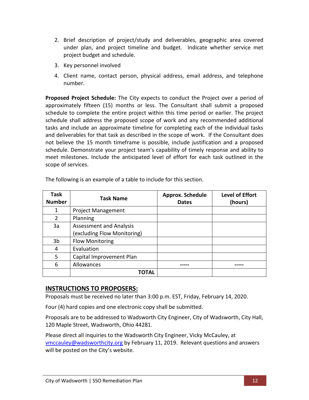- 2. Brief description of project/study and deliverables, geographic area covered under plan, and project timeline and budget. Indicate whether service met project budget and schedule.
- 3. Key personnel involved
- 4. Client name, contact person, physical address, email address, and telephone number.

**Proposed Project Schedule:** The City expects to conduct the Project over a period of approximately fifteen (15) months or less. The Consultant shall submit a proposed schedule to complete the entire project within this time period or earlier. The project schedule shall address the proposed scope of work and any recommended additional tasks and include an approximate timeline for completing each of the individual tasks and deliverables for that task as described in the scope of work. If the Consultant does not believe the 15 month timeframe is possible, include justification and a proposed schedule. Demonstrate your project team's capability of timely response and ability to meet milestones. Include the anticipated level of effort for each task outlined in the scope of services.

| <b>Task</b><br><b>Number</b> | <b>Task Name</b>                                              | <b>Approx. Schedule</b><br><b>Dates</b> | <b>Level of Effort</b><br>(hours) |
|------------------------------|---------------------------------------------------------------|-----------------------------------------|-----------------------------------|
| 1                            | <b>Project Management</b>                                     |                                         |                                   |
| 2                            | Planning                                                      |                                         |                                   |
| 3a                           | <b>Assessment and Analysis</b><br>(excluding Flow Monitoring) |                                         |                                   |
| 3b                           | <b>Flow Monitoring</b>                                        |                                         |                                   |
| 4                            | Evaluation                                                    |                                         |                                   |
| 5                            | Capital Improvement Plan                                      |                                         |                                   |
| 6                            | Allowances                                                    |                                         |                                   |
|                              | ΌΤΑΙ                                                          |                                         |                                   |

The following is an example of a table to include for this section.

# **INSTRUCTIONS TO PROPOSERS:**

Proposals must be received no later than 3:00 p.m. EST, Friday, February 14, 2020.

Four (4) hard copies and one electronic copy shall be submitted.

Proposals are to be addressed to Wadsworth City Engineer, City of Wadsworth, City Hall, 120 Maple Street, Wadsworth, Ohio 44281.

Please direct all inquiries to the Wadsworth City Engineer, Vicky McCauley, at [vmccauley@wadsworthcity.org](mailto:vmccauley@wadsworthcity.org) by February 11, 2019. Relevant questions and answers will be posted on the City's website.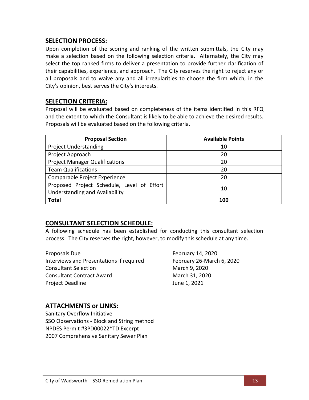## **SELECTION PROCESS:**

Upon completion of the scoring and ranking of the written submittals, the City may make a selection based on the following selection criteria. Alternately, the City may select the top ranked firms to deliver a presentation to provide further clarification of their capabilities, experience, and approach. The City reserves the right to reject any or all proposals and to waive any and all irregularities to choose the firm which, in the City's opinion, best serves the City's interests.

## **SELECTION CRITERIA:**

Proposal will be evaluated based on completeness of the items identified in this RFQ and the extent to which the Consultant is likely to be able to achieve the desired results. Proposals will be evaluated based on the following criteria.

| <b>Proposal Section</b>                    | <b>Available Points</b> |  |
|--------------------------------------------|-------------------------|--|
| <b>Project Understanding</b>               | 10                      |  |
| Project Approach                           | 20                      |  |
| <b>Project Manager Qualifications</b>      | 20                      |  |
| <b>Team Qualifications</b>                 | 20                      |  |
| Comparable Project Experience              | 20                      |  |
| Proposed Project Schedule, Level of Effort | 10                      |  |
| <b>Understanding and Availability</b>      |                         |  |
| <b>Total</b>                               | 100                     |  |

# **CONSULTANT SELECTION SCHEDULE:**

A following schedule has been established for conducting this consultant selection process. The City reserves the right, however, to modify this schedule at any time.

| Proposals Due                            |  |
|------------------------------------------|--|
| Interviews and Presentations if required |  |
| <b>Consultant Selection</b>              |  |
| <b>Consultant Contract Award</b>         |  |
| <b>Project Deadline</b>                  |  |

February 14, 2020 February 26-March 6, 2020 March 9, 2020 March 31, 2020 June 1, 2021

# **ATTACHMENTS or LINKS:**

Sanitary Overflow Initiative SSO Observations - Block and String method NPDES Permit #3PD00022\*TD Excerpt 2007 Comprehensive Sanitary Sewer Plan